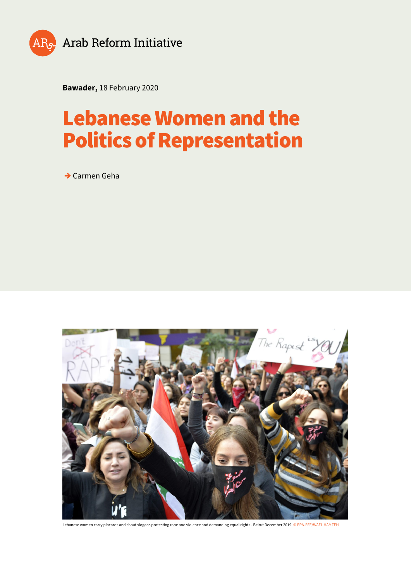

**Bawader,** 18 February 2020

# **Lebanese Women and the Politics of Representation**

**→** Carmen Geha



Lebanese women carry placards and shout slogans protesting rape and violence and demanding equal rights - Beirut December 2019. © EPA-EFE/WAEL HAMZEH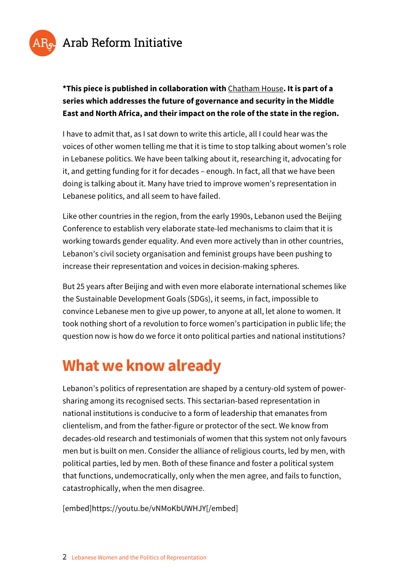

#### **\*This piece is published in collaboration with** [Chatham House](https://www.chathamhouse.org/research/regions/middle-east-and-north-africa)**. It is part of a series which addresses the future of governance and security in the Middle East and North Africa, and their impact on the role of the state in the region.**

I have to admit that, as I sat down to write this article, all I could hear was the voices of other women telling me that it is time to stop talking about women's role in Lebanese politics. We have been talking about it, researching it, advocating for it, and getting funding for it for decades – enough. In fact, all that we have been doing is talking about it. Many have tried to improve women's representation in Lebanese politics, and all seem to have failed.

Like other countries in the region, from the early 1990s, Lebanon used the Beijing Conference to establish very elaborate state-led mechanisms to claim that it is working towards gender equality. And even more actively than in other countries, Lebanon's civil society organisation and feminist groups have been pushing to increase their representation and voices in decision-making spheres.

But 25 years after Beijing and with even more elaborate international schemes like the Sustainable Development Goals (SDGs), it seems, in fact, impossible to convince Lebanese men to give up power, to anyone at all, let alone to women. It took nothing short of a revolution to force women's participation in public life; the question now is how do we force it onto political parties and national institutions?

## **What we know already**

Lebanon's politics of representation are shaped by a century-old system of powersharing among its recognised sects. This sectarian-based representation in national institutions is conducive to a form of leadership that emanates from clientelism, and from the father-figure or protector of the sect. We know from decades-old research and testimonials of women that this system not only favours men but is built on men. Consider the alliance of religious courts, led by men, with political parties, led by men. Both of these finance and foster a political system that functions, undemocratically, only when the men agree, and fails to function, catastrophically, when the men disagree.

[embed]https://youtu.be/vNMoKbUWHJY[/embed]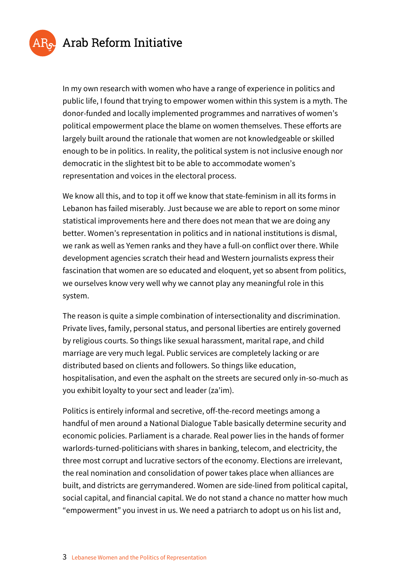

In my own research with women who have a range of experience in politics and public life, I found that trying to empower women within this system is a myth. The donor-funded and locally implemented programmes and narratives of women's political empowerment place the blame on women themselves. These efforts are largely built around the rationale that women are not knowledgeable or skilled enough to be in politics. In reality, the political system is not inclusive enough nor democratic in the slightest bit to be able to accommodate women's representation and voices in the electoral process.

We know all this, and to top it off we know that state-feminism in all its forms in Lebanon has failed miserably. Just because we are able to report on some minor statistical improvements here and there does not mean that we are doing any better. Women's representation in politics and in national institutions is dismal, we rank as well as Yemen ranks and they have a full-on conflict over there. While development agencies scratch their head and Western journalists express their fascination that women are so educated and eloquent, yet so absent from politics, we ourselves know very well why we cannot play any meaningful role in this system.

The reason is quite a simple combination of intersectionality and discrimination. Private lives, family, personal status, and personal liberties are entirely governed by religious courts. So things like sexual harassment, marital rape, and child marriage are very much legal. Public services are completely lacking or are distributed based on clients and followers. So things like education, hospitalisation, and even the asphalt on the streets are secured only in-so-much as you exhibit loyalty to your sect and leader (za'im).

Politics is entirely informal and secretive, off-the-record meetings among a handful of men around a National Dialogue Table basically determine security and economic policies. Parliament is a charade. Real power lies in the hands of former warlords-turned-politicians with shares in banking, telecom, and electricity, the three most corrupt and lucrative sectors of the economy. Elections are irrelevant, the real nomination and consolidation of power takes place when alliances are built, and districts are gerrymandered. Women are side-lined from political capital, social capital, and financial capital. We do not stand a chance no matter how much "empowerment" you invest in us. We need a patriarch to adopt us on his list and,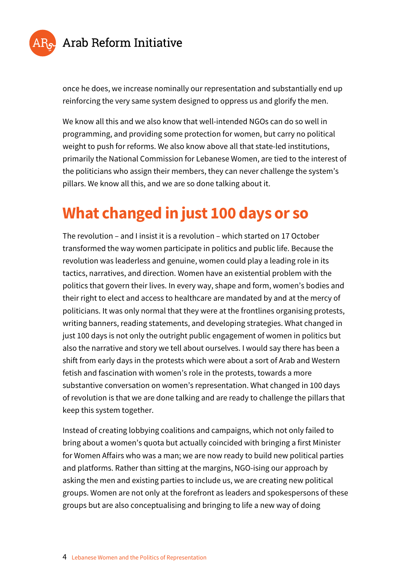

once he does, we increase nominally our representation and substantially end up reinforcing the very same system designed to oppress us and glorify the men.

We know all this and we also know that well-intended NGOs can do so well in programming, and providing some protection for women, but carry no political weight to push for reforms. We also know above all that state-led institutions, primarily the National Commission for Lebanese Women, are tied to the interest of the politicians who assign their members, they can never challenge the system's pillars. We know all this, and we are so done talking about it.

## **What changed in just 100 days or so**

The revolution – and I insist it is a revolution – which started on 17 October transformed the way women participate in politics and public life. Because the revolution was leaderless and genuine, women could play a leading role in its tactics, narratives, and direction. Women have an existential problem with the politics that govern their lives. In every way, shape and form, women's bodies and their right to elect and access to healthcare are mandated by and at the mercy of politicians. It was only normal that they were at the frontlines organising protests, writing banners, reading statements, and developing strategies. What changed in just 100 days is not only the outright public engagement of women in politics but also the narrative and story we tell about ourselves. I would say there has been a shift from early days in the protests which were about a sort of Arab and Western fetish and fascination with women's role in the protests, towards a more substantive conversation on women's representation. What changed in 100 days of revolution is that we are done talking and are ready to challenge the pillars that keep this system together.

Instead of creating lobbying coalitions and campaigns, which not only failed to bring about a women's quota but actually coincided with bringing a first Minister for Women Affairs who was a man; we are now ready to build new political parties and platforms. Rather than sitting at the margins, NGO-ising our approach by asking the men and existing parties to include us, we are creating new political groups. Women are not only at the forefront as leaders and spokespersons of these groups but are also conceptualising and bringing to life a new way of doing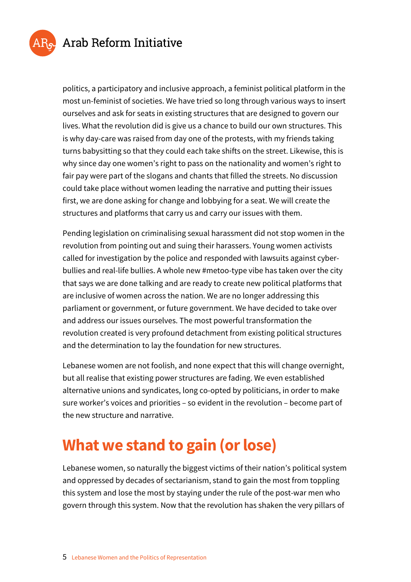

politics, a participatory and inclusive approach, a feminist political platform in the most un-feminist of societies. We have tried so long through various ways to insert ourselves and ask for seats in existing structures that are designed to govern our lives. What the revolution did is give us a chance to build our own structures. This is why day-care was raised from day one of the protests, with my friends taking turns babysitting so that they could each take shifts on the street. Likewise, this is why since day one women's right to pass on the nationality and women's right to fair pay were part of the slogans and chants that filled the streets. No discussion could take place without women leading the narrative and putting their issues first, we are done asking for change and lobbying for a seat. We will create the structures and platforms that carry us and carry our issues with them.

Pending legislation on criminalising sexual harassment did not stop women in the revolution from pointing out and suing their harassers. Young women activists called for investigation by the police and responded with lawsuits against cyberbullies and real-life bullies. A whole new #metoo-type vibe has taken over the city that says we are done talking and are ready to create new political platforms that are inclusive of women across the nation. We are no longer addressing this parliament or government, or future government. We have decided to take over and address our issues ourselves. The most powerful transformation the revolution created is very profound detachment from existing political structures and the determination to lay the foundation for new structures.

Lebanese women are not foolish, and none expect that this will change overnight, but all realise that existing power structures are fading. We even established alternative unions and syndicates, long co-opted by politicians, in order to make sure worker's voices and priorities – so evident in the revolution – become part of the new structure and narrative.

## **What we stand to gain (or lose)**

Lebanese women, so naturally the biggest victims of their nation's political system and oppressed by decades of sectarianism, stand to gain the most from toppling this system and lose the most by staying under the rule of the post-war men who govern through this system. Now that the revolution has shaken the very pillars of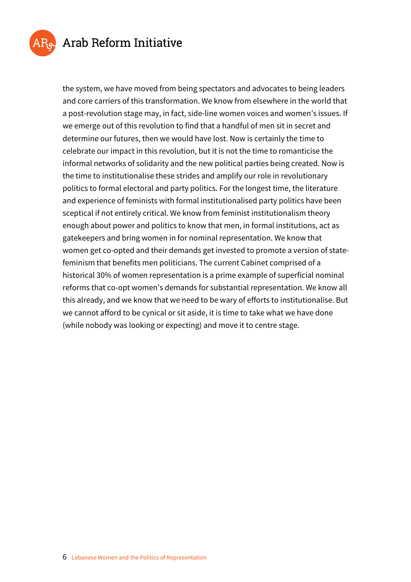

the system, we have moved from being spectators and advocates to being leaders and core carriers of this transformation. We know from elsewhere in the world that a post-revolution stage may, in fact, side-line women voices and women's issues. If we emerge out of this revolution to find that a handful of men sit in secret and determine our futures, then we would have lost. Now is certainly the time to celebrate our impact in this revolution, but it is not the time to romanticise the informal networks of solidarity and the new political parties being created. Now is the time to institutionalise these strides and amplify our role in revolutionary politics to formal electoral and party politics. For the longest time, the literature and experience of feminists with formal institutionalised party politics have been sceptical if not entirely critical. We know from feminist institutionalism theory enough about power and politics to know that men, in formal institutions, act as gatekeepers and bring women in for nominal representation. We know that women get co-opted and their demands get invested to promote a version of statefeminism that benefits men politicians. The current Cabinet comprised of a historical 30% of women representation is a prime example of superficial nominal reforms that co-opt women's demands for substantial representation. We know all this already, and we know that we need to be wary of efforts to institutionalise. But we cannot afford to be cynical or sit aside, it is time to take what we have done (while nobody was looking or expecting) and move it to centre stage.